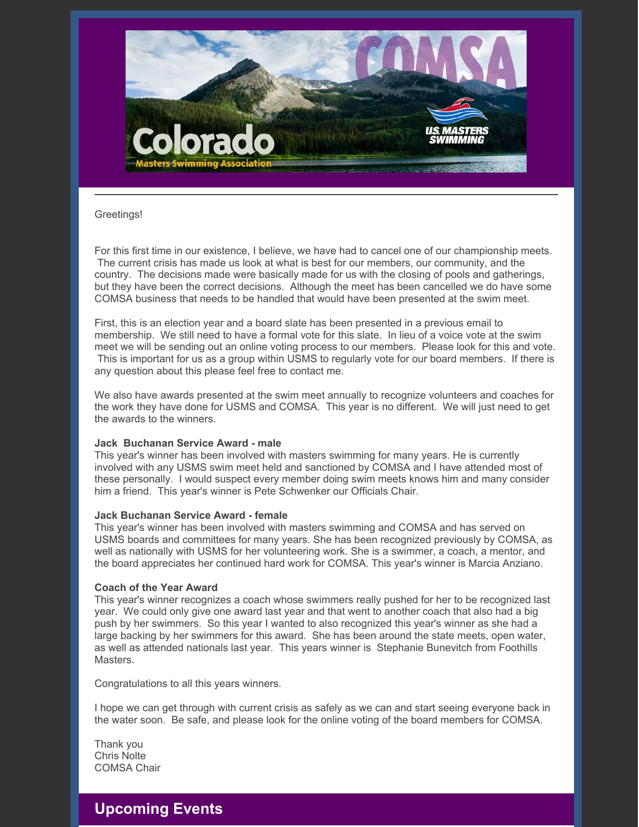

### Greetings!

For this first time in our existence, I believe, we have had to cancel one of our championship meets. The current crisis has made us look at what is best for our members, our community, and the country. The decisions made were basically made for us with the closing of pools and gatherings, but they have been the correct decisions. Although the meet has been cancelled we do have some COMSA business that needs to be handled that would have been presented at the swim meet.

First, this is an election year and a board slate has been presented in a previous email to membership. We still need to have a formal vote for this slate. In lieu of a voice vote at the swim meet we will be sending out an online voting process to our members. Please look for this and vote. This is important for us as a group within USMS to regularly vote for our board members. If there is any question about this please feel free to contact me.

We also have awards presented at the swim meet annually to recognize volunteers and coaches for the work they have done for USMS and COMSA. This year is no different. We will just need to get the awards to the winners.

### **Jack Buchanan Service Award - male**

This year's winner has been involved with masters swimming for many years. He is currently involved with any USMS swim meet held and sanctioned by COMSA and I have attended most of these personally. I would suspect every member doing swim meets knows him and many consider him a friend. This year's winner is Pete Schwenker our Officials Chair.

#### **Jack Buchanan Service Award - female**

This year's winner has been involved with masters swimming and COMSA and has served on USMS boards and committees for many years. She has been recognized previously by COMSA, as well as nationally with USMS for her volunteering work. She is a swimmer, a coach, a mentor, and the board appreciates her continued hard work for COMSA. This year's winner is Marcia Anziano.

### **Coach of the Year Award**

This year's winner recognizes a coach whose swimmers really pushed for her to be recognized last year. We could only give one award last year and that went to another coach that also had a big push by her swimmers. So this year I wanted to also recognized this year's winner as she had a large backing by her swimmers for this award. She has been around the state meets, open water, as well as attended nationals last year. This years winner is Stephanie Bunevitch from Foothills Masters.

Congratulations to all this years winners.

I hope we can get through with current crisis as safely as we can and start seeing everyone back in the water soon. Be safe, and please look for the online voting of the board members for COMSA.

Thank you Chris Nolte COMSA Chair

## **Upcoming Events**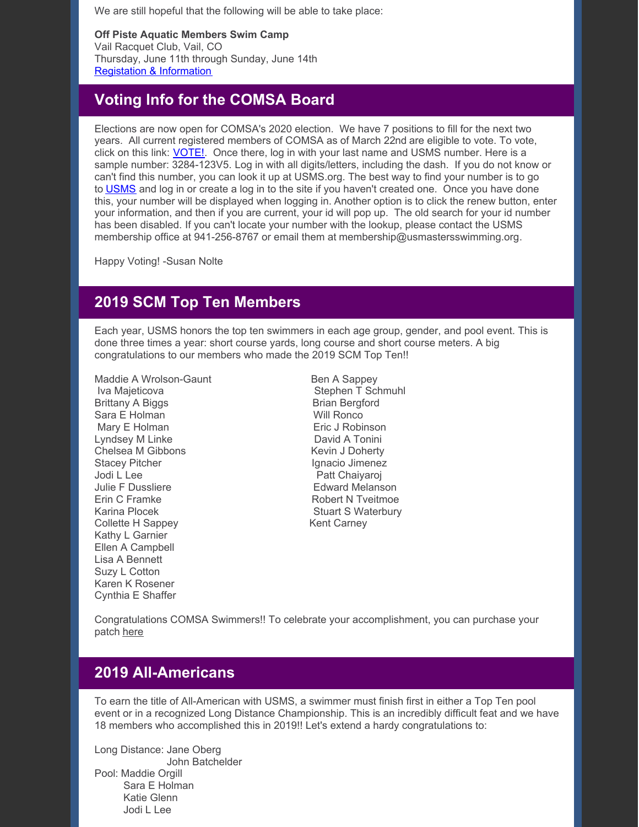We are still hopeful that the following will be able to take place:

**Off Piste Aquatic Members Swim Camp** Vail Racquet Club, Vail, CO Thursday, June 11th through Sunday, June 14th Registation & [Information](https://www.offpisteaquatics.com/what-is-off-piste-1)

# **Voting Info for the COMSA Board**

Elections are now open for COMSA's 2020 election. We have 7 positions to fill for the next two years. All current registered members of COMSA as of March 22nd are eligible to vote. To vote, click on this link: **[VOTE!](https://vote.associationvoting.com/comsa/)**. Once there, log in with your last name and USMS number. Here is a sample number: 3284-123V5. Log in with all digits/letters, including the dash. If you do not know or can't find this number, you can look it up at USMS.org. The best way to find your number is to go to [USMS](http://usms.org) and log in or create a log in to the site if you haven't created one. Once you have done this, your number will be displayed when logging in. Another option is to click the renew button, enter your information, and then if you are current, your id will pop up. The old search for your id number has been disabled. If you can't locate your number with the lookup, please contact the USMS membership office at 941-256-8767 or email them at membership@usmastersswimming.org.

Happy Voting! -Susan Nolte

## **2019 SCM Top Ten Members**

Each year, USMS honors the top ten swimmers in each age group, gender, and pool event. This is done three times a year: short course yards, long course and short course meters. A big congratulations to our members who made the 2019 SCM Top Ten!!

Maddie A Wrolson-Gaunt Ben A Sappey Iva Majeticova **Stephen T Schmuhl** Brittany A Biggs Brittany A Biggs Brittany A Biggs Brittany A Biggs Britan Bergford Sara E Holman Will Ronco Mary E Holman **Example 20** Eric J Robinson Lyndsey M Linke David A Tonini Chelsea M Gibbons Kevin J Doherty Stacey Pitcher **Ignacio Jimenez** Jodi L Lee Patt Chaiyaroj Julie F Dussliere **Edward Melanson** Erin C Framke Robert N Tveitmoe Karina Plocek **Stuart S Waterbury** Stuart S Waterbury Collette H Sappey Kent Carney Kathy L Garnier Ellen A Campbell Lisa A Bennett Suzy L Cotton Karen K Rosener Cynthia E Shaffer

Congratulations COMSA Swimmers!! To celebrate your accomplishment, you can purchase your patch [here](https://www.usms.org/events/usms-top-10/top-10-patches)

# **2019 All-Americans**

To earn the title of All-American with USMS, a swimmer must finish first in either a Top Ten pool event or in a recognized Long Distance Championship. This is an incredibly difficult feat and we have 18 members who accomplished this in 2019!! Let's extend a hardy congratulations to:

Long Distance: Jane Oberg John Batchelder Pool: Maddie Orgill Sara E Holman Katie Glenn Jodi L Lee